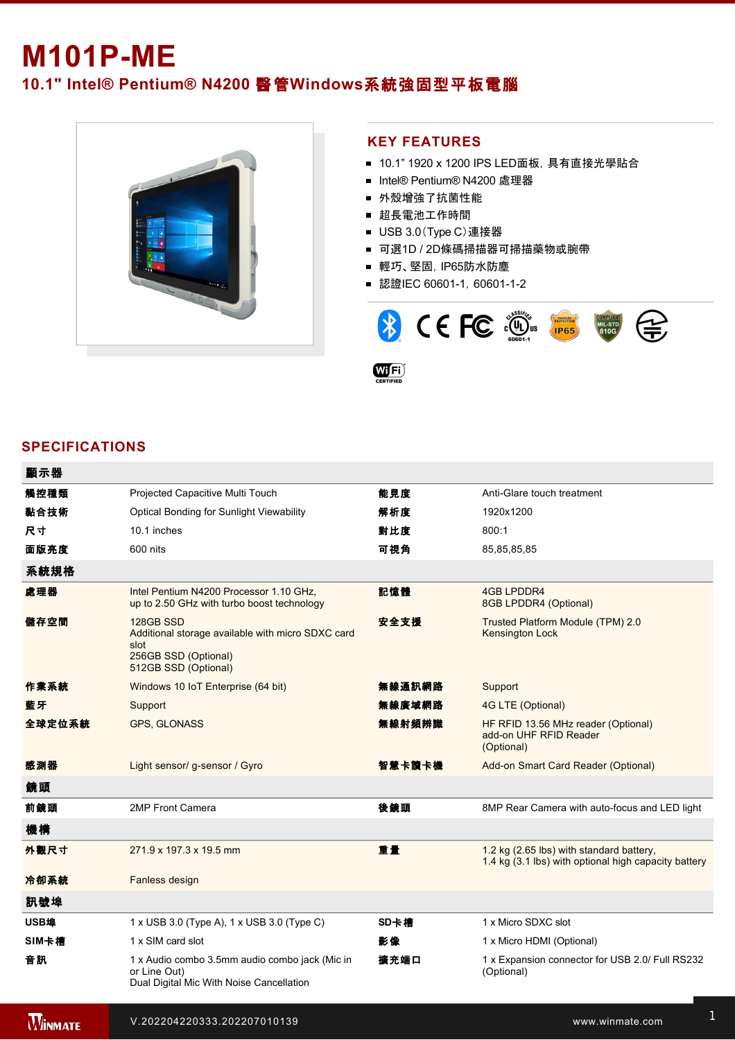## **M101P-ME 10.1" Intel® Pentium® N4200** 醫管**Windows**系統強固型平板電腦



## **KEY FEATURES**

- 10.1" 1920 x 1200 IPS LED面板, 具有直接光學貼合
- Intel® Pentium® N4200 處理器
- 外殼增強了抗菌性能
- 超長電池工作時間
- USB 3.0 (Type C) 連接器
- 可選1D / 2D條碼掃描器可掃描藥物或腕帶
- 輕巧、堅固, IP65防水防塵
- 認證IEC 60601-1, 60601-1-2



## **SPECIFICATIONS**

| 顯示器            |                                                                                                                        |        |                                                                                                  |
|----------------|------------------------------------------------------------------------------------------------------------------------|--------|--------------------------------------------------------------------------------------------------|
| 觸控種類           | Projected Capacitive Multi Touch                                                                                       | 能見度    | Anti-Glare touch treatment                                                                       |
| 黏合技術           | Optical Bonding for Sunlight Viewability                                                                               | 解析度    | 1920x1200                                                                                        |
| 尺寸             | 10.1 inches                                                                                                            | 對比度    | 800:1                                                                                            |
| 面版亮度           | 600 nits                                                                                                               | 可視角    | 85,85,85,85                                                                                      |
| 系統規格           |                                                                                                                        |        |                                                                                                  |
| 處理器            | Intel Pentium N4200 Processor 1.10 GHz,<br>up to 2.50 GHz with turbo boost technology                                  | 記憶體    | <b>4GB LPDDR4</b><br>8GB LPDDR4 (Optional)                                                       |
| 儲存空間           | 128GB SSD<br>Additional storage available with micro SDXC card<br>slot<br>256GB SSD (Optional)<br>512GB SSD (Optional) | 安全支援   | Trusted Platform Module (TPM) 2.0<br><b>Kensington Lock</b>                                      |
| 作業系統           | Windows 10 IoT Enterprise (64 bit)                                                                                     | 無線通訊網路 | Support                                                                                          |
| 藍牙             | Support                                                                                                                | 無線廣域網路 | 4G LTE (Optional)                                                                                |
| 全球定位系統         | <b>GPS, GLONASS</b>                                                                                                    | 無線射頻辨識 | HF RFID 13.56 MHz reader (Optional)<br>add-on UHF RFID Reader<br>(Optional)                      |
| 感測器            | Light sensor/g-sensor / Gyro                                                                                           | 智慧卡讀卡機 | Add-on Smart Card Reader (Optional)                                                              |
| 鏡頭             |                                                                                                                        |        |                                                                                                  |
| 前鏡頭            | 2MP Front Camera                                                                                                       | 後鏡頭    | 8MP Rear Camera with auto-focus and LED light                                                    |
| 機構             |                                                                                                                        |        |                                                                                                  |
| 外觀尺寸           | 271.9 x 197.3 x 19.5 mm                                                                                                | 重量     | 1.2 kg (2.65 lbs) with standard battery,<br>1.4 kg (3.1 lbs) with optional high capacity battery |
| 冷卻系統           | Fanless design                                                                                                         |        |                                                                                                  |
| 訊號埠            |                                                                                                                        |        |                                                                                                  |
| <b>USB埠</b>    | 1 x USB 3.0 (Type A), 1 x USB 3.0 (Type C)                                                                             | SD卡槽   | 1 x Micro SDXC slot                                                                              |
| SIM卡槽          | 1 x SIM card slot                                                                                                      | 影像     | 1 x Micro HDMI (Optional)                                                                        |
| 音訊             | 1 x Audio combo 3.5mm audio combo jack (Mic in<br>or Line Out)<br>Dual Digital Mic With Noise Cancellation             | 擴充端口   | 1 x Expansion connector for USB 2.0/ Full RS232<br>(Optional)                                    |
| <b>WINMATE</b> | V.202204220333.202207010139                                                                                            |        | www.winmate.com                                                                                  |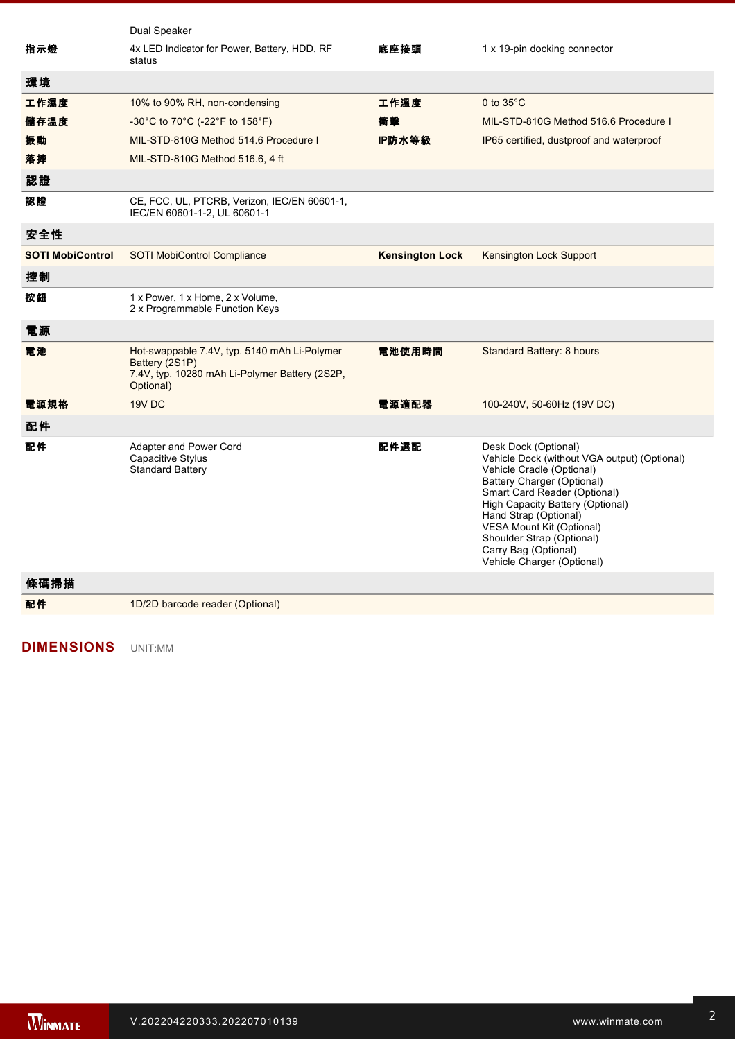|                         | Dual Speaker                                                                                                                  |                        |                                                                                                                                                                                                                                                                                                                                                     |
|-------------------------|-------------------------------------------------------------------------------------------------------------------------------|------------------------|-----------------------------------------------------------------------------------------------------------------------------------------------------------------------------------------------------------------------------------------------------------------------------------------------------------------------------------------------------|
| 指示燈                     | 4x LED Indicator for Power, Battery, HDD, RF<br>status                                                                        | 底座接頭                   | 1 x 19-pin docking connector                                                                                                                                                                                                                                                                                                                        |
| 環境                      |                                                                                                                               |                        |                                                                                                                                                                                                                                                                                                                                                     |
| 工作濕度                    | 10% to 90% RH, non-condensing                                                                                                 | 工作溫度                   | 0 to $35^{\circ}$ C                                                                                                                                                                                                                                                                                                                                 |
| 儲存溫度                    | -30°C to 70°C (-22°F to 158°F)                                                                                                | 衝擊                     | MIL-STD-810G Method 516.6 Procedure I                                                                                                                                                                                                                                                                                                               |
| 振動                      | MIL-STD-810G Method 514.6 Procedure I                                                                                         | IP防水等級                 | IP65 certified, dustproof and waterproof                                                                                                                                                                                                                                                                                                            |
| 落摔                      | MIL-STD-810G Method 516.6, 4 ft                                                                                               |                        |                                                                                                                                                                                                                                                                                                                                                     |
| 認證                      |                                                                                                                               |                        |                                                                                                                                                                                                                                                                                                                                                     |
| 認證                      | CE, FCC, UL, PTCRB, Verizon, IEC/EN 60601-1,<br>IEC/EN 60601-1-2, UL 60601-1                                                  |                        |                                                                                                                                                                                                                                                                                                                                                     |
| 安全性                     |                                                                                                                               |                        |                                                                                                                                                                                                                                                                                                                                                     |
| <b>SOTI MobiControl</b> | SOTI MobiControl Compliance                                                                                                   | <b>Kensington Lock</b> | Kensington Lock Support                                                                                                                                                                                                                                                                                                                             |
| 控制                      |                                                                                                                               |                        |                                                                                                                                                                                                                                                                                                                                                     |
| 按鈕                      | 1 x Power, 1 x Home, 2 x Volume,<br>2 x Programmable Function Keys                                                            |                        |                                                                                                                                                                                                                                                                                                                                                     |
| 電源                      |                                                                                                                               |                        |                                                                                                                                                                                                                                                                                                                                                     |
| 電池                      | Hot-swappable 7.4V, typ. 5140 mAh Li-Polymer<br>Battery (2S1P)<br>7.4V, typ. 10280 mAh Li-Polymer Battery (2S2P,<br>Optional) | 電池使用時間                 | Standard Battery: 8 hours                                                                                                                                                                                                                                                                                                                           |
| 電源規格                    | 19V DC                                                                                                                        | 電源適配器                  | 100-240V, 50-60Hz (19V DC)                                                                                                                                                                                                                                                                                                                          |
| 配件                      |                                                                                                                               |                        |                                                                                                                                                                                                                                                                                                                                                     |
| 配件                      | Adapter and Power Cord<br>Capacitive Stylus<br><b>Standard Battery</b>                                                        | 配件選配                   | Desk Dock (Optional)<br>Vehicle Dock (without VGA output) (Optional)<br>Vehicle Cradle (Optional)<br><b>Battery Charger (Optional)</b><br>Smart Card Reader (Optional)<br>High Capacity Battery (Optional)<br>Hand Strap (Optional)<br>VESA Mount Kit (Optional)<br>Shoulder Strap (Optional)<br>Carry Bag (Optional)<br>Vehicle Charger (Optional) |
| 條碼掃描                    |                                                                                                                               |                        |                                                                                                                                                                                                                                                                                                                                                     |
| 配件                      | 1D/2D barcode reader (Optional)                                                                                               |                        |                                                                                                                                                                                                                                                                                                                                                     |

**DIMENSIONS**  UNIT:MM